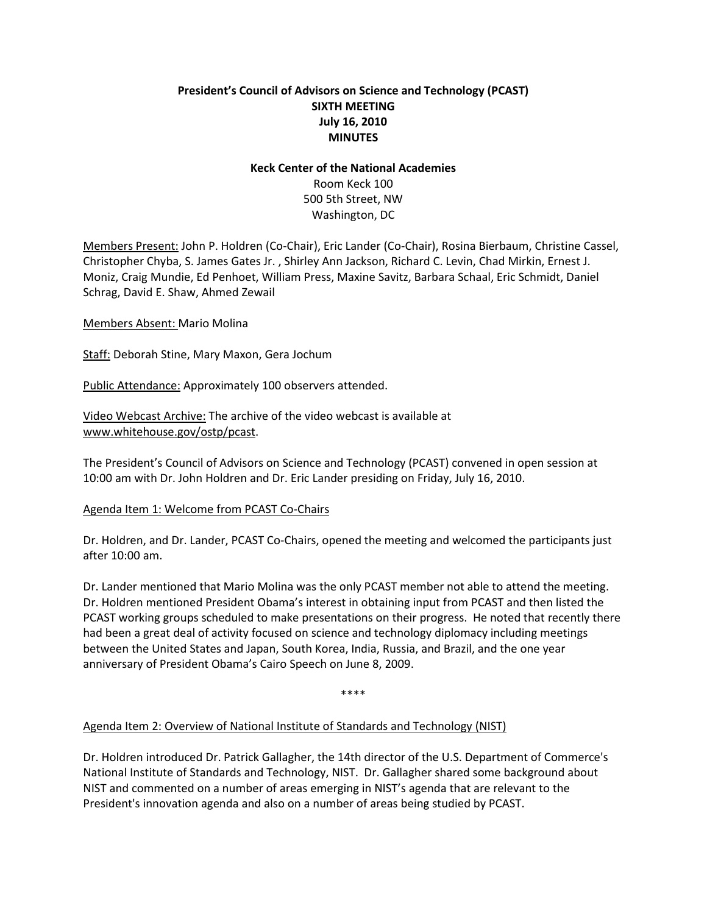# **President's Council of Advisors on Science and Technology (PCAST) SIXTH MEETING July 16, 2010 MINUTES**

#### **Keck Center of the National Academies**

Room Keck 100 500 5th Street, NW Washington, DC

Members Present: John P. Holdren (Co-Chair), Eric Lander (Co-Chair), Rosina Bierbaum, Christine Cassel, Christopher Chyba, S. James Gates Jr. , Shirley Ann Jackson, Richard C. Levin, Chad Mirkin, Ernest J. Moniz, Craig Mundie, Ed Penhoet, William Press, Maxine Savitz, Barbara Schaal, Eric Schmidt, Daniel Schrag, David E. Shaw, Ahmed Zewail

Members Absent: Mario Molina

Staff: Deborah Stine, Mary Maxon, Gera Jochum

Public Attendance: Approximately 100 observers attended.

Video Webcast Archive: The archive of the video webcast is available at [www.whitehouse.gov/ostp/pcast.](http://www.whitehouse.gov/ostp/pcast)

The President's Council of Advisors on Science and Technology (PCAST) convened in open session at 10:00 am with Dr. John Holdren and Dr. Eric Lander presiding on Friday, July 16, 2010.

### Agenda Item 1: Welcome from PCAST Co-Chairs

Dr. Holdren, and Dr. Lander, PCAST Co-Chairs, opened the meeting and welcomed the participants just after 10:00 am.

Dr. Lander mentioned that Mario Molina was the only PCAST member not able to attend the meeting. Dr. Holdren mentioned President Obama's interest in obtaining input from PCAST and then listed the PCAST working groups scheduled to make presentations on their progress. He noted that recently there had been a great deal of activity focused on science and technology diplomacy including meetings between the United States and Japan, South Korea, India, Russia, and Brazil, and the one year anniversary of President Obama's Cairo Speech on June 8, 2009.

\*\*\*\*

### Agenda Item 2: Overview of National Institute of Standards and Technology (NIST)

Dr. Holdren introduced Dr. Patrick Gallagher, the 14th director of the U.S. Department of Commerce's National Institute of Standards and Technology, NIST. Dr. Gallagher shared some background about NIST and commented on a number of areas emerging in NIST's agenda that are relevant to the President's innovation agenda and also on a number of areas being studied by PCAST.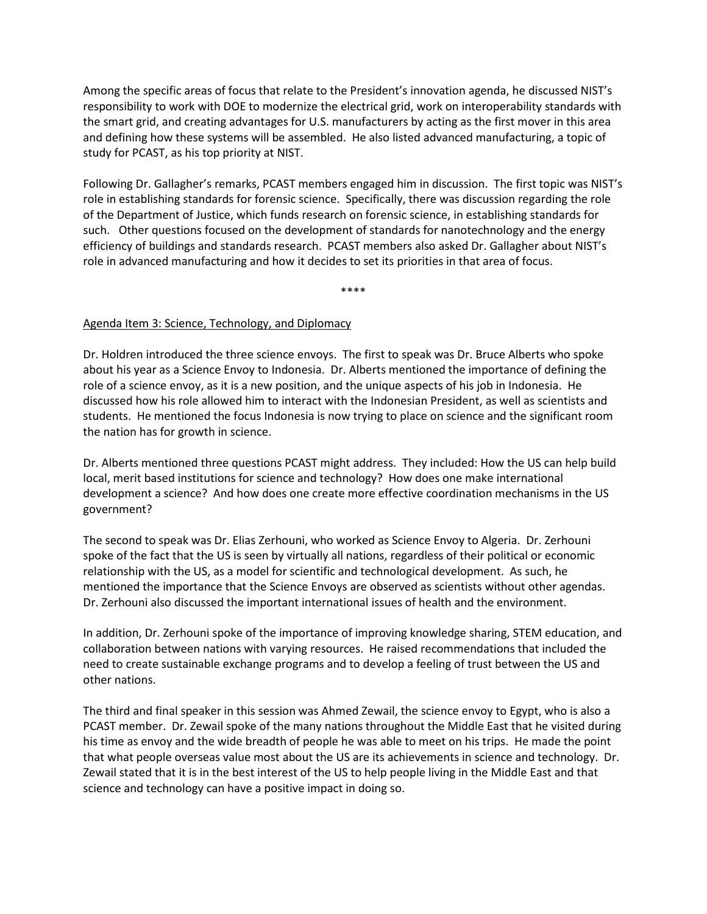Among the specific areas of focus that relate to the President's innovation agenda, he discussed NIST's responsibility to work with DOE to modernize the electrical grid, work on interoperability standards with the smart grid, and creating advantages for U.S. manufacturers by acting as the first mover in this area and defining how these systems will be assembled. He also listed advanced manufacturing, a topic of study for PCAST, as his top priority at NIST.

Following Dr. Gallagher's remarks, PCAST members engaged him in discussion. The first topic was NIST's role in establishing standards for forensic science. Specifically, there was discussion regarding the role of the Department of Justice, which funds research on forensic science, in establishing standards for such. Other questions focused on the development of standards for nanotechnology and the energy efficiency of buildings and standards research. PCAST members also asked Dr. Gallagher about NIST's role in advanced manufacturing and how it decides to set its priorities in that area of focus.

\*\*\*\*

### Agenda Item 3: Science, Technology, and Diplomacy

Dr. Holdren introduced the three science envoys. The first to speak was Dr. Bruce Alberts who spoke about his year as a Science Envoy to Indonesia. Dr. Alberts mentioned the importance of defining the role of a science envoy, as it is a new position, and the unique aspects of his job in Indonesia. He discussed how his role allowed him to interact with the Indonesian President, as well as scientists and students. He mentioned the focus Indonesia is now trying to place on science and the significant room the nation has for growth in science.

Dr. Alberts mentioned three questions PCAST might address. They included: How the US can help build local, merit based institutions for science and technology? How does one make international development a science? And how does one create more effective coordination mechanisms in the US government?

The second to speak was Dr. Elias Zerhouni, who worked as Science Envoy to Algeria. Dr. Zerhouni spoke of the fact that the US is seen by virtually all nations, regardless of their political or economic relationship with the US, as a model for scientific and technological development. As such, he mentioned the importance that the Science Envoys are observed as scientists without other agendas. Dr. Zerhouni also discussed the important international issues of health and the environment.

In addition, Dr. Zerhouni spoke of the importance of improving knowledge sharing, STEM education, and collaboration between nations with varying resources. He raised recommendations that included the need to create sustainable exchange programs and to develop a feeling of trust between the US and other nations.

The third and final speaker in this session was Ahmed Zewail, the science envoy to Egypt, who is also a PCAST member. Dr. Zewail spoke of the many nations throughout the Middle East that he visited during his time as envoy and the wide breadth of people he was able to meet on his trips. He made the point that what people overseas value most about the US are its achievements in science and technology. Dr. Zewail stated that it is in the best interest of the US to help people living in the Middle East and that science and technology can have a positive impact in doing so.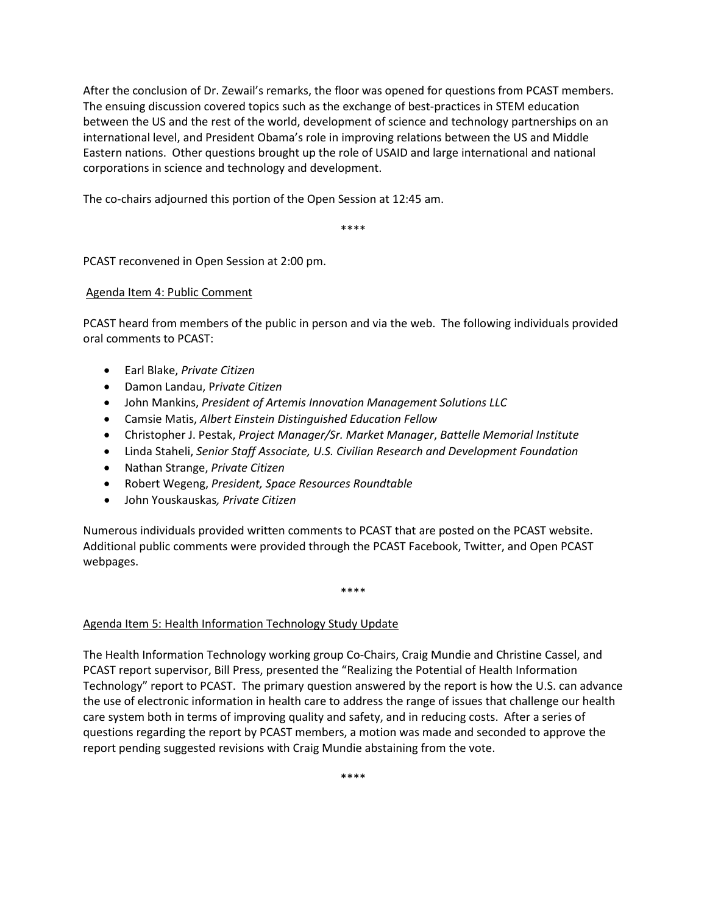After the conclusion of Dr. Zewail's remarks, the floor was opened for questions from PCAST members. The ensuing discussion covered topics such as the exchange of best-practices in STEM education between the US and the rest of the world, development of science and technology partnerships on an international level, and President Obama's role in improving relations between the US and Middle Eastern nations. Other questions brought up the role of USAID and large international and national corporations in science and technology and development.

The co-chairs adjourned this portion of the Open Session at 12:45 am.

\*\*\*\*

PCAST reconvened in Open Session at 2:00 pm.

#### Agenda Item 4: Public Comment

PCAST heard from members of the public in person and via the web. The following individuals provided oral comments to PCAST:

- Earl Blake, *Private Citizen*
- Damon Landau, P*rivate Citizen*
- John Mankins, *President of Artemis Innovation Management Solutions LLC*
- Camsie Matis, *Albert Einstein Distinguished Education Fellow*
- Christopher J. Pestak, *Project Manager/Sr. Market Manager*, *Battelle Memorial Institute*
- Linda Staheli, *Senior Staff Associate, U.S. Civilian Research and Development Foundation*
- Nathan Strange, *Private Citizen*
- Robert Wegeng, *President, Space Resources Roundtable*
- John Youskauskas*, Private Citizen*

Numerous individuals provided written comments to PCAST that are posted on the PCAST website. Additional public comments were provided through the PCAST Facebook, Twitter, and Open PCAST webpages.

\*\*\*\*

### Agenda Item 5: Health Information Technology Study Update

The Health Information Technology working group Co-Chairs, Craig Mundie and Christine Cassel, and PCAST report supervisor, Bill Press, presented the "Realizing the Potential of Health Information Technology" report to PCAST. The primary question answered by the report is how the U.S. can advance the use of electronic information in health care to address the range of issues that challenge our health care system both in terms of improving quality and safety, and in reducing costs. After a series of questions regarding the report by PCAST members, a motion was made and seconded to approve the report pending suggested revisions with Craig Mundie abstaining from the vote.

\*\*\*\*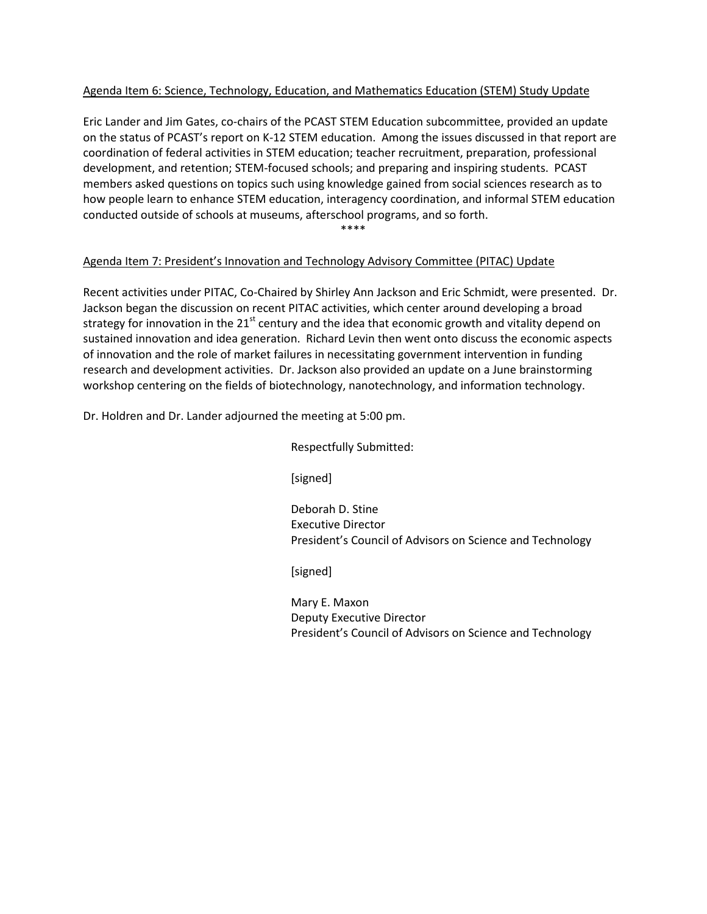### Agenda Item 6: Science, Technology, Education, and Mathematics Education (STEM) Study Update

Eric Lander and Jim Gates, co-chairs of the PCAST STEM Education subcommittee, provided an update on the status of PCAST's report on K-12 STEM education. Among the issues discussed in that report are coordination of federal activities in STEM education; teacher recruitment, preparation, professional development, and retention; STEM-focused schools; and preparing and inspiring students. PCAST members asked questions on topics such using knowledge gained from social sciences research as to how people learn to enhance STEM education, interagency coordination, and informal STEM education conducted outside of schools at museums, afterschool programs, and so forth.

\*\*\*\*

## Agenda Item 7: President's Innovation and Technology Advisory Committee (PITAC) Update

Recent activities under PITAC, Co-Chaired by Shirley Ann Jackson and Eric Schmidt, were presented. Dr. Jackson began the discussion on recent PITAC activities, which center around developing a broad strategy for innovation in the 21<sup>st</sup> century and the idea that economic growth and vitality depend on sustained innovation and idea generation. Richard Levin then went onto discuss the economic aspects of innovation and the role of market failures in necessitating government intervention in funding research and development activities. Dr. Jackson also provided an update on a June brainstorming workshop centering on the fields of biotechnology, nanotechnology, and information technology.

Dr. Holdren and Dr. Lander adjourned the meeting at 5:00 pm.

Respectfully Submitted:

[signed]

Deborah D. Stine Executive Director President's Council of Advisors on Science and Technology

[signed]

Mary E. Maxon Deputy Executive Director President's Council of Advisors on Science and Technology